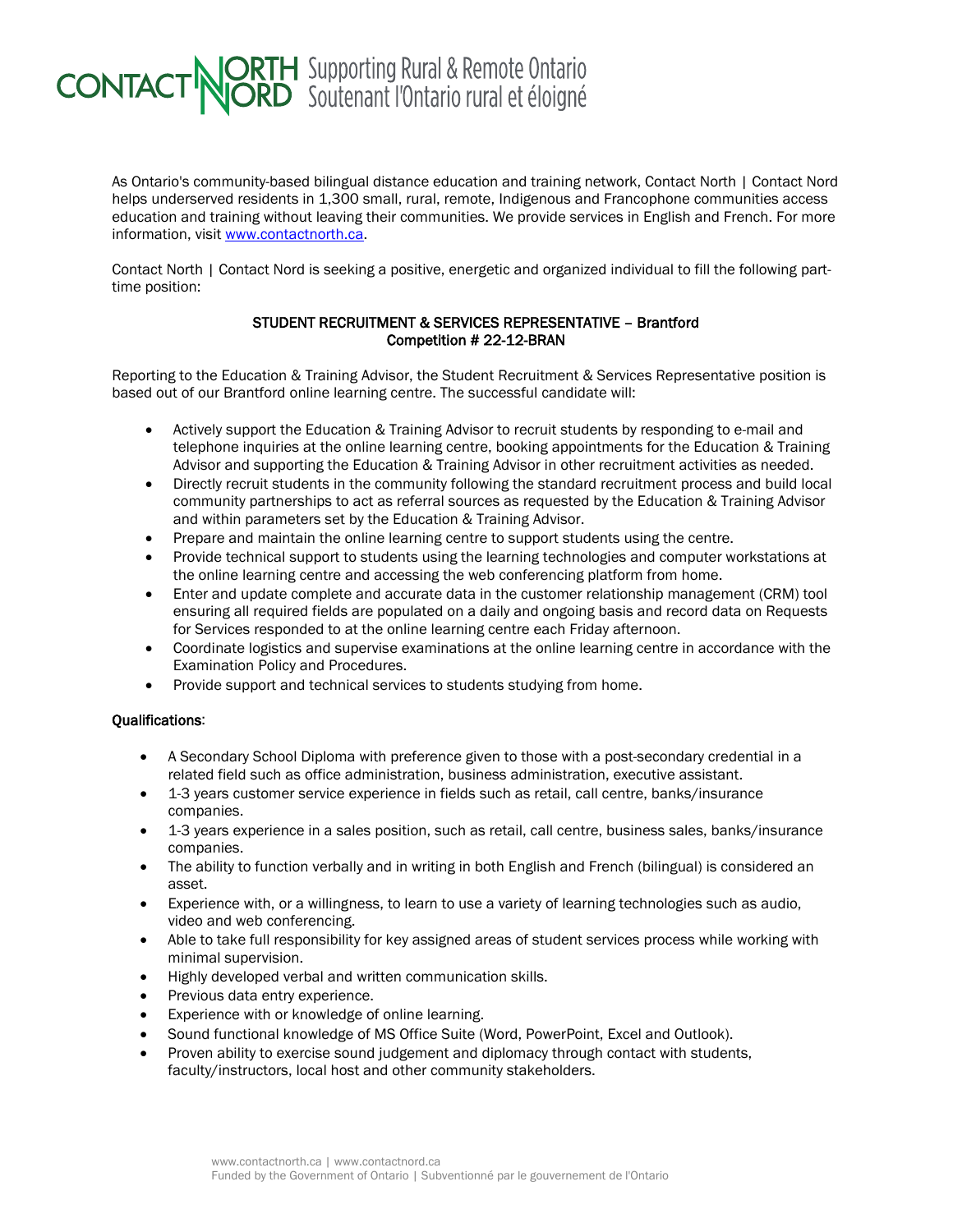## **CONTACT NORTH** Supporting Rural & Remote Ontario

As Ontario's community-based bilingual distance education and training network, Contact North | Contact Nord helps underserved residents in 1,300 small, rural, remote, Indigenous and Francophone communities access education and training without leaving their communities. We provide services in English and French. For more information, visit [www.contactnorth.ca.](http://www.contactnorth.ca/)

Contact North | Contact Nord is seeking a positive, energetic and organized individual to fill the following parttime position:

## STUDENT RECRUITMENT & SERVICES REPRESENTATIVE – Brantford Competition # 22-12-BRAN

Reporting to the Education & Training Advisor, the Student Recruitment & Services Representative position is based out of our Brantford online learning centre. The successful candidate will:

- Actively support the Education & Training Advisor to recruit students by responding to e-mail and telephone inquiries at the online learning centre, booking appointments for the Education & Training Advisor and supporting the Education & Training Advisor in other recruitment activities as needed.
- Directly recruit students in the community following the standard recruitment process and build local community partnerships to act as referral sources as requested by the Education & Training Advisor and within parameters set by the Education & Training Advisor.
- Prepare and maintain the online learning centre to support students using the centre.
- Provide technical support to students using the learning technologies and computer workstations at the online learning centre and accessing the web conferencing platform from home.
- Enter and update complete and accurate data in the customer relationship management (CRM) tool ensuring all required fields are populated on a daily and ongoing basis and record data on Requests for Services responded to at the online learning centre each Friday afternoon.
- Coordinate logistics and supervise examinations at the online learning centre in accordance with the Examination Policy and Procedures.
- Provide support and technical services to students studying from home.

## Qualifications:

- A Secondary School Diploma with preference given to those with a post-secondary credential in a related field such as office administration, business administration, executive assistant.
- 1-3 years customer service experience in fields such as retail, call centre, banks/insurance companies.
- 1-3 years experience in a sales position, such as retail, call centre, business sales, banks/insurance companies.
- The ability to function verbally and in writing in both English and French (bilingual) is considered an asset.
- Experience with, or a willingness, to learn to use a variety of learning technologies such as audio, video and web conferencing.
- Able to take full responsibility for key assigned areas of student services process while working with minimal supervision.
- Highly developed verbal and written communication skills.
- Previous data entry experience.
- Experience with or knowledge of online learning.
- Sound functional knowledge of MS Office Suite (Word, PowerPoint, Excel and Outlook).
- Proven ability to exercise sound judgement and diplomacy through contact with students, faculty/instructors, local host and other community stakeholders.